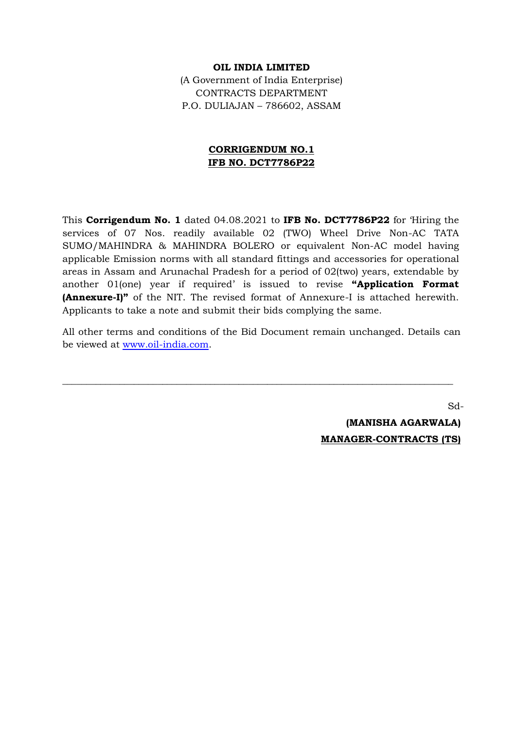## **OIL INDIA LIMITED**

(A Government of India Enterprise) CONTRACTS DEPARTMENT P.O. DULIAJAN – 786602, ASSAM

## **CORRIGENDUM NO.1 IFB NO. DCT7786P22**

This **Corrigendum No. 1** dated 04.08.2021 to **IFB No. DCT7786P22** for 'Hiring the services of 07 Nos. readily available 02 (TWO) Wheel Drive Non-AC TATA SUMO/MAHINDRA & MAHINDRA BOLERO or equivalent Non-AC model having applicable Emission norms with all standard fittings and accessories for operational areas in Assam and Arunachal Pradesh for a period of 02(two) years, extendable by another 01(one) year if required' is issued to revise **"Application Format (Annexure-I)"** of the NIT. The revised format of Annexure-I is attached herewith. Applicants to take a note and submit their bids complying the same.

All other terms and conditions of the Bid Document remain unchanged. Details can be viewed at [www.oil-india.com.](http://www.oil-india.com/)

\_\_\_\_\_\_\_\_\_\_\_\_\_\_\_\_\_\_\_\_\_\_\_\_\_\_\_\_\_\_\_\_\_\_\_\_\_\_\_\_\_\_\_\_\_\_\_\_\_\_\_\_\_\_\_\_\_\_\_\_\_\_\_\_\_\_\_\_\_\_\_\_\_\_\_\_\_\_\_\_\_\_

Sd-  **(MANISHA AGARWALA)**

**MANAGER-CONTRACTS (TS)**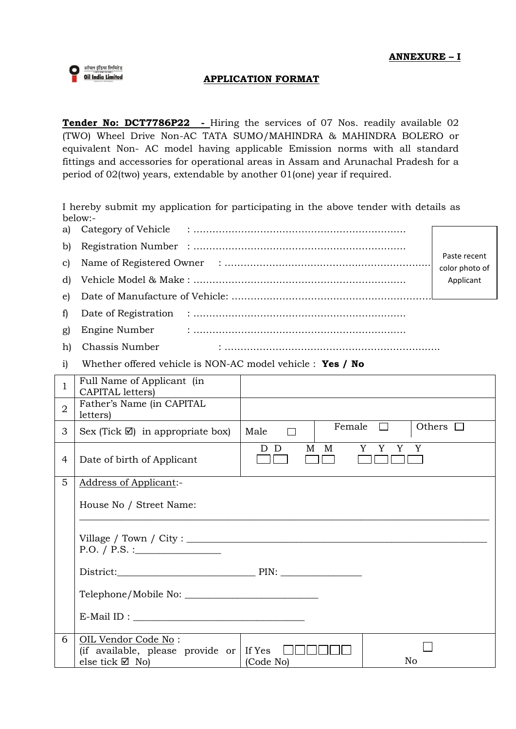

## **APPLICATION FORMAT**

**Tender No: DCT7786P22 -** Hiring the services of 07 Nos. readily available 02 (TWO) Wheel Drive Non-AC TATA SUMO/MAHINDRA & MAHINDRA BOLERO or equivalent Non- AC model having applicable Emission norms with all standard fittings and accessories for operational areas in Assam and Arunachal Pradesh for a period of 02(two) years, extendable by another 01(one) year if required.

I hereby submit my application for participating in the above tender with details as below:- $\frac{1}{2}$ 

|       |                   |           | Paste recent   |  |
|-------|-------------------|-----------|----------------|--|
|       |                   |           | color photo of |  |
|       |                   | Applicant |                |  |
|       |                   |           |                |  |
| $f$ ) |                   |           |                |  |
| g)    |                   |           |                |  |
|       | h) Chassis Number |           |                |  |

i) Whether offered vehicle is NON-AC model vehicle : **Yes / No**

| 1              | Full Name of Applicant (in<br>CAPITAL letters)                                              |                |                                      |  |  |  |
|----------------|---------------------------------------------------------------------------------------------|----------------|--------------------------------------|--|--|--|
| $\overline{2}$ | Father's Name (in CAPITAL<br>letters)                                                       |                |                                      |  |  |  |
| 3              | Sex (Tick $\boxtimes$ ) in appropriate box)                                                 | Male<br>$\Box$ | Female $\square$<br>Others $\square$ |  |  |  |
| 4              | Date of birth of Applicant                                                                  | D D<br>M M     | Y Y Y<br>Y                           |  |  |  |
| 5              | <b>Address of Applicant:-</b>                                                               |                |                                      |  |  |  |
|                | House No / Street Name:                                                                     |                |                                      |  |  |  |
|                | P.O. / P.S. :                                                                               |                |                                      |  |  |  |
|                |                                                                                             |                |                                      |  |  |  |
|                |                                                                                             |                |                                      |  |  |  |
|                | $E$ -Mail ID :                                                                              |                |                                      |  |  |  |
| 6              | OIL Vendor Code No:<br>(if available, please provide or If Yes<br>else tick $\boxtimes$ No) | (Code No)      | No                                   |  |  |  |